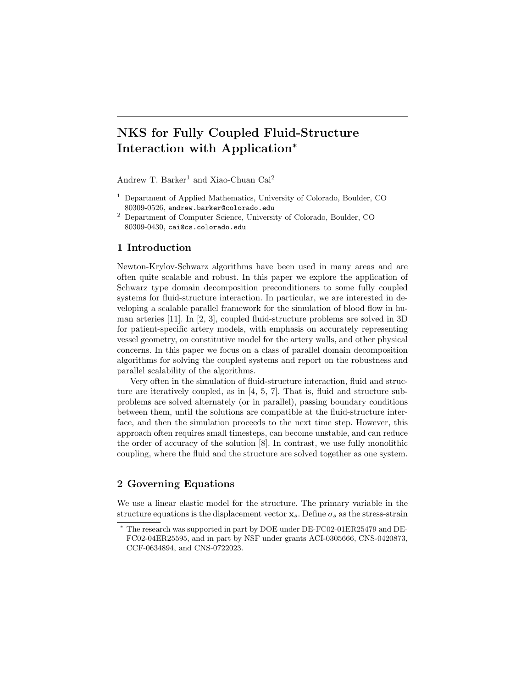# NKS for Fully Coupled Fluid-Structure Interaction with Application<sup>∗</sup>

Andrew T. Barker<sup>1</sup> and Xiao-Chuan Cai<sup>2</sup>

- <sup>1</sup> Department of Applied Mathematics, University of Colorado, Boulder, CO 80309-0526, andrew.barker@colorado.edu
- <sup>2</sup> Department of Computer Science, University of Colorado, Boulder, CO 80309-0430, cai@cs.colorado.edu

#### 1 Introduction

Newton-Krylov-Schwarz algorithms have been used in many areas and are often quite scalable and robust. In this paper we explore the application of Schwarz type domain decomposition preconditioners to some fully coupled systems for fluid-structure interaction. In particular, we are interested in developing a scalable parallel framework for the simulation of blood flow in human arteries [11]. In [2, 3], coupled fluid-structure problems are solved in 3D for patient-specific artery models, with emphasis on accurately representing vessel geometry, on constitutive model for the artery walls, and other physical concerns. In this paper we focus on a class of parallel domain decomposition algorithms for solving the coupled systems and report on the robustness and parallel scalability of the algorithms.

Very often in the simulation of fluid-structure interaction, fluid and structure are iteratively coupled, as in [4, 5, 7]. That is, fluid and structure subproblems are solved alternately (or in parallel), passing boundary conditions between them, until the solutions are compatible at the fluid-structure interface, and then the simulation proceeds to the next time step. However, this approach often requires small timesteps, can become unstable, and can reduce the order of accuracy of the solution [8]. In contrast, we use fully monolithic coupling, where the fluid and the structure are solved together as one system.

## 2 Governing Equations

We use a linear elastic model for the structure. The primary variable in the structure equations is the displacement vector  $\mathbf{x}_s$ . Define  $\sigma_s$  as the stress-strain

<sup>∗</sup> The research was supported in part by DOE under DE-FC02-01ER25479 and DE-FC02-04ER25595, and in part by NSF under grants ACI-0305666, CNS-0420873, CCF-0634894, and CNS-0722023.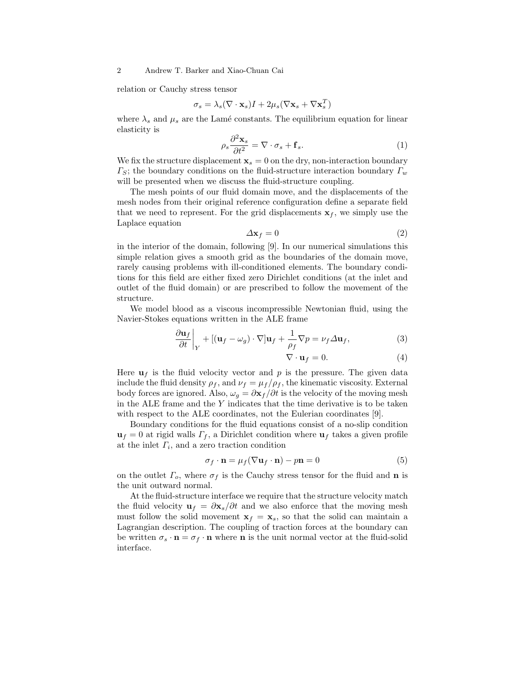relation or Cauchy stress tensor

$$
\sigma_s = \lambda_s (\nabla \cdot \mathbf{x}_s) I + 2\mu_s (\nabla \mathbf{x}_s + \nabla \mathbf{x}_s^T)
$$

where  $\lambda_s$  and  $\mu_s$  are the Lamé constants. The equilibrium equation for linear elasticity is

$$
\rho_s \frac{\partial^2 \mathbf{x}_s}{\partial t^2} = \nabla \cdot \sigma_s + \mathbf{f}_s. \tag{1}
$$

We fix the structure displacement  $\mathbf{x}_s = 0$  on the dry, non-interaction boundary  $\Gamma_S$ ; the boundary conditions on the fluid-structure interaction boundary  $\Gamma_w$ will be presented when we discuss the fluid-structure coupling.

The mesh points of our fluid domain move, and the displacements of the mesh nodes from their original reference configuration define a separate field that we need to represent. For the grid displacements  $x_f$ , we simply use the Laplace equation

$$
\Delta \mathbf{x}_f = 0 \tag{2}
$$

in the interior of the domain, following [9]. In our numerical simulations this simple relation gives a smooth grid as the boundaries of the domain move, rarely causing problems with ill-conditioned elements. The boundary conditions for this field are either fixed zero Dirichlet conditions (at the inlet and outlet of the fluid domain) or are prescribed to follow the movement of the structure.

We model blood as a viscous incompressible Newtonian fluid, using the Navier-Stokes equations written in the ALE frame ¯

$$
\left. \frac{\partial \mathbf{u}_f}{\partial t} \right|_Y + \left[ (\mathbf{u}_f - \omega_g) \cdot \nabla \right] \mathbf{u}_f + \frac{1}{\rho_f} \nabla p = \nu_f \Delta \mathbf{u}_f,\tag{3}
$$

$$
\nabla \cdot \mathbf{u}_f = 0. \tag{4}
$$

Here  $\mathbf{u}_f$  is the fluid velocity vector and p is the pressure. The given data include the fluid density  $\rho_f$ , and  $\nu_f = \mu_f/\rho_f$ , the kinematic viscosity. External body forces are ignored. Also,  $\omega_q = \frac{\partial \mathbf{x}_f}{\partial t}$  is the velocity of the moving mesh in the ALE frame and the  $Y$  indicates that the time derivative is to be taken with respect to the ALE coordinates, not the Eulerian coordinates [9].

Boundary conditions for the fluid equations consist of a no-slip condition  $u_f = 0$  at rigid walls  $\Gamma_f$ , a Dirichlet condition where  $u_f$  takes a given profile at the inlet  $\Gamma_i$ , and a zero traction condition

$$
\sigma_f \cdot \mathbf{n} = \mu_f (\nabla \mathbf{u}_f \cdot \mathbf{n}) - p\mathbf{n} = 0 \tag{5}
$$

on the outlet  $\Gamma_o$ , where  $\sigma_f$  is the Cauchy stress tensor for the fluid and **n** is the unit outward normal.

At the fluid-structure interface we require that the structure velocity match the fluid velocity  $\mathbf{u}_f = \frac{\partial \mathbf{x}_s}{\partial t}$  and we also enforce that the moving mesh must follow the solid movement  $x_f = x_s$ , so that the solid can maintain a Lagrangian description. The coupling of traction forces at the boundary can be written  $\sigma_s \cdot \mathbf{n} = \sigma_f \cdot \mathbf{n}$  where **n** is the unit normal vector at the fluid-solid interface.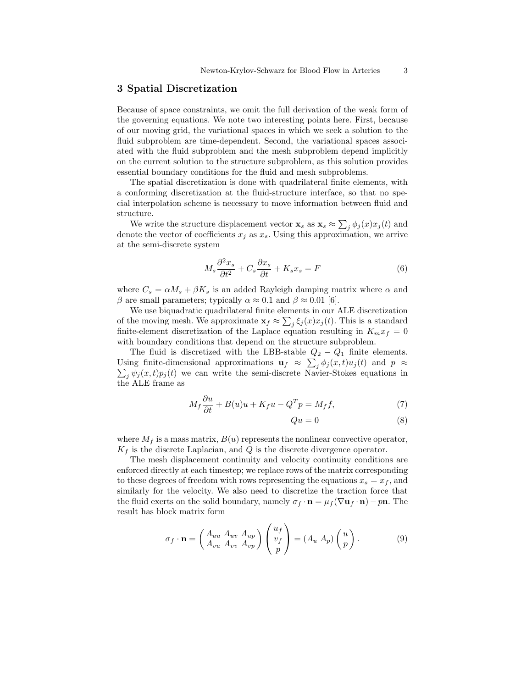#### 3 Spatial Discretization

Because of space constraints, we omit the full derivation of the weak form of the governing equations. We note two interesting points here. First, because of our moving grid, the variational spaces in which we seek a solution to the fluid subproblem are time-dependent. Second, the variational spaces associated with the fluid subproblem and the mesh subproblem depend implicitly on the current solution to the structure subproblem, as this solution provides essential boundary conditions for the fluid and mesh subproblems.

The spatial discretization is done with quadrilateral finite elements, with a conforming discretization at the fluid-structure interface, so that no special interpolation scheme is necessary to move information between fluid and structure.

Figure.<br>We write the structure displacement vector  ${\bf x}_s$  as  ${\bf x}_s \approx \sum$  $j \phi_j(x) x_j(t)$  and denote the vector of coefficients  $x_j$  as  $x_s$ . Using this approximation, we arrive at the semi-discrete system

$$
M_s \frac{\partial^2 x_s}{\partial t^2} + C_s \frac{\partial x_s}{\partial t} + K_s x_s = F \tag{6}
$$

where  $C_s = \alpha M_s + \beta K_s$  is an added Rayleigh damping matrix where  $\alpha$  and β are small parameters; typically  $\alpha \approx 0.1$  and  $\beta \approx 0.01$  [6].

We use biquadratic quadrilateral finite elements in our ALE discretization of the moving mesh. We approximate  $\mathbf{x}_f \approx \sum_j \xi_j(x) x_j(t)$ . This is a standard finite-element discretization of the Laplace equation resulting in  $K_m x_f = 0$ with boundary conditions that depend on the structure subproblem.

The fluid is discretized with the LBB-stable  $Q_2 - Q_1$  finite elements. Using finite-dimensional approximations  $\mathbf{u}_f \approx \sum_j \phi_j(x,t) u_j(t)$  and  $p \approx \sum_j \phi_j(x,t) u_j(t)$  $\sum_j \psi_j(x, t) p_j(t)$  we can write the semi-discrete Navier-Stokes equations in the ALE frame as

$$
M_f \frac{\partial u}{\partial t} + B(u)u + K_f u - Q^T p = M_f f,
$$
\n<sup>(7)</sup>

$$
Qu = 0 \tag{8}
$$

where  $M_f$  is a mass matrix,  $B(u)$  represents the nonlinear convective operator,  $K_f$  is the discrete Laplacian, and Q is the discrete divergence operator.

The mesh displacement continuity and velocity continuity conditions are enforced directly at each timestep; we replace rows of the matrix corresponding to these degrees of freedom with rows representing the equations  $x_s = x_f$ , and similarly for the velocity. We also need to discretize the traction force that the fluid exerts on the solid boundary, namely  $\sigma_f \cdot \mathbf{n} = \mu_f (\nabla \mathbf{u}_f \cdot \mathbf{n}) - p\mathbf{n}$ . The result has block matrix form

$$
\sigma_f \cdot \mathbf{n} = \begin{pmatrix} A_{uu} & A_{uv} & A_{up} \\ A_{vu} & A_{vv} & A_{vp} \end{pmatrix} \begin{pmatrix} u_f \\ v_f \\ p \end{pmatrix} = (A_u & A_p) \begin{pmatrix} u \\ p \end{pmatrix} . \tag{9}
$$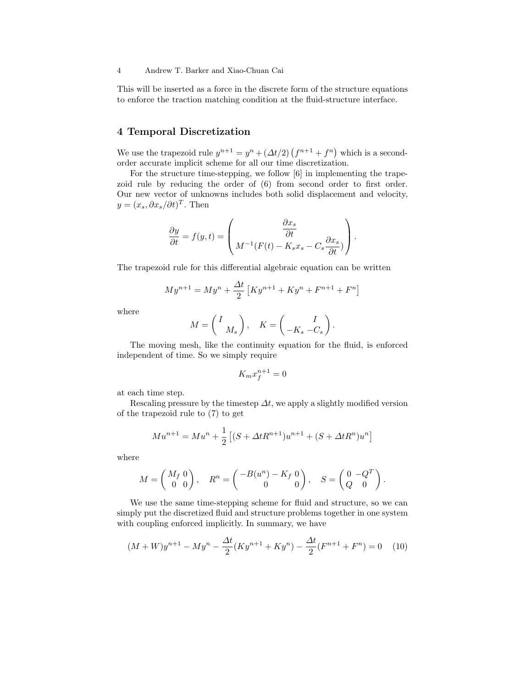This will be inserted as a force in the discrete form of the structure equations to enforce the traction matching condition at the fluid-structure interface.

# 4 Temporal Discretization

We use the trapezoid rule  $y^{n+1} = y^n + (\Delta t/2) (f^{n+1} + f^n)$ which is a secondorder accurate implicit scheme for all our time discretization.

For the structure time-stepping, we follow [6] in implementing the trapezoid rule by reducing the order of (6) from second order to first order. Our new vector of unknowns includes both solid displacement and velocity,  $y = (x_s, \partial x_s/\partial t)^T$ . Then

$$
\frac{\partial y}{\partial t} = f(y, t) = \begin{pmatrix} \frac{\partial x_s}{\partial t} \\ M^{-1}(F(t) - K_s x_s - C_s \frac{\partial x_s}{\partial t}) \end{pmatrix}.
$$

The trapezoid rule for this differential algebraic equation can be written

$$
My^{n+1} = My^{n} + \frac{\Delta t}{2} \left[ Ky^{n+1} + Ky^{n} + F^{n+1} + F^{n} \right]
$$

where

$$
M = \begin{pmatrix} I \\ M_s \end{pmatrix}, \quad K = \begin{pmatrix} I \\ -K_s & -C_s \end{pmatrix}.
$$

The moving mesh, like the continuity equation for the fluid, is enforced independent of time. So we simply require

$$
K_m x_f^{n+1} = 0
$$

at each time step.

Rescaling pressure by the timestep  $\Delta t$ , we apply a slightly modified version of the trapezoid rule to (7) to get

$$
Mu^{n+1} = Mu^{n} + \frac{1}{2} \left[ (S + \Delta t R^{n+1})u^{n+1} + (S + \Delta t R^{n})u^{n} \right]
$$

where

$$
M = \begin{pmatrix} M_f & 0 \\ 0 & 0 \end{pmatrix}, \quad R^n = \begin{pmatrix} -B(u^n) - K_f & 0 \\ 0 & 0 \end{pmatrix}, \quad S = \begin{pmatrix} 0 & -Q^T \\ Q & 0 \end{pmatrix}.
$$

We use the same time-stepping scheme for fluid and structure, so we can simply put the discretized fluid and structure problems together in one system with coupling enforced implicitly. In summary, we have

$$
(M+W)y^{n+1} - My^n - \frac{\Delta t}{2}(Ky^{n+1} + Ky^n) - \frac{\Delta t}{2}(F^{n+1} + F^n) = 0 \quad (10)
$$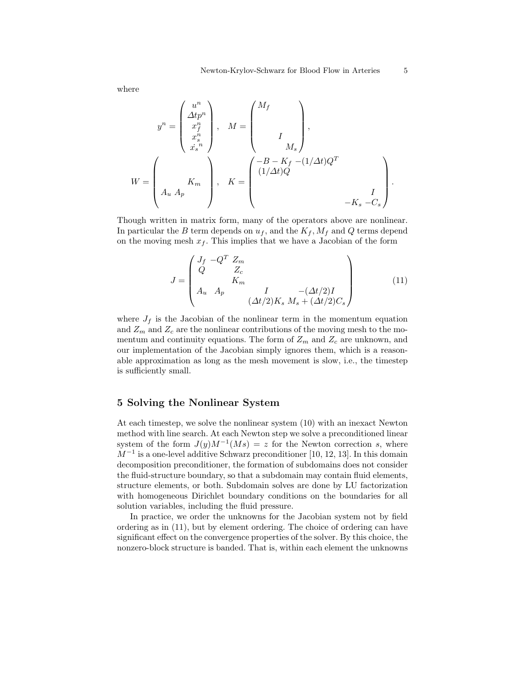where

$$
y^{n} = \begin{pmatrix} u^{n} \\ \Delta t p^{n} \\ x_{s}^{n} \\ \vdots \\ x_{s}^{n} \end{pmatrix}, \quad M = \begin{pmatrix} M_{f} \\ & \\ & \\ I \\ & M_{s} \end{pmatrix},
$$

$$
W = \begin{pmatrix} K_{m} \\ & K_{m} \\ A_{u} A_{p} \end{pmatrix}, \quad K = \begin{pmatrix} -B - K_{f} & -(1/\Delta t)Q^{T} \\ & (1/\Delta t)Q & \\ & \\ & (1/\Delta t)Q & \\ & & -K_{s} & -C_{s} \end{pmatrix}.
$$

Though written in matrix form, many of the operators above are nonlinear. In particular the B term depends on  $u_f$ , and the  $K_f$ ,  $M_f$  and Q terms depend on the moving mesh  $x_f$ . This implies that we have a Jacobian of the form

$$
J = \begin{pmatrix} J_f & -Q^T Z_m & & & \\ Q & Z_c & & & \\ & K_m & & & \\ A_u & A_p & & I & -(\Delta t/2)I \\ & & & (\Delta t/2)K_s & M_s + (\Delta t/2)C_s \end{pmatrix}
$$
(11)

where  $J_f$  is the Jacobian of the nonlinear term in the momentum equation and  $Z_m$  and  $Z_c$  are the nonlinear contributions of the moving mesh to the momentum and continuity equations. The form of  $Z_m$  and  $Z_c$  are unknown, and our implementation of the Jacobian simply ignores them, which is a reasonable approximation as long as the mesh movement is slow, i.e., the timestep is sufficiently small.

### 5 Solving the Nonlinear System

At each timestep, we solve the nonlinear system (10) with an inexact Newton method with line search. At each Newton step we solve a preconditioned linear system of the form  $J(y)M^{-1}(Ms) = z$  for the Newton correction s, where  $M^{-1}$  is a one-level additive Schwarz preconditioner [10, 12, 13]. In this domain decomposition preconditioner, the formation of subdomains does not consider the fluid-structure boundary, so that a subdomain may contain fluid elements, structure elements, or both. Subdomain solves are done by LU factorization with homogeneous Dirichlet boundary conditions on the boundaries for all solution variables, including the fluid pressure.

In practice, we order the unknowns for the Jacobian system not by field ordering as in (11), but by element ordering. The choice of ordering can have significant effect on the convergence properties of the solver. By this choice, the nonzero-block structure is banded. That is, within each element the unknowns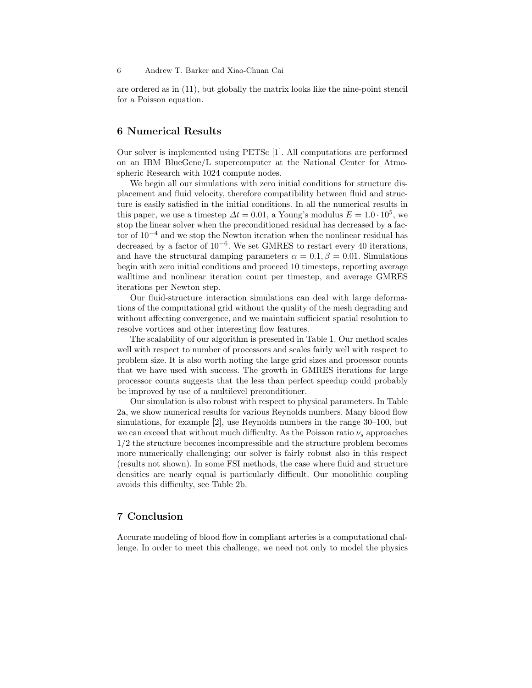are ordered as in (11), but globally the matrix looks like the nine-point stencil for a Poisson equation.

## 6 Numerical Results

Our solver is implemented using PETSc [1]. All computations are performed on an IBM BlueGene/L supercomputer at the National Center for Atmospheric Research with 1024 compute nodes.

We begin all our simulations with zero initial conditions for structure displacement and fluid velocity, therefore compatibility between fluid and structure is easily satisfied in the initial conditions. In all the numerical results in this paper, we use a timestep  $\Delta t = 0.01$ , a Young's modulus  $E = 1.0 \cdot 10^5$ , we stop the linear solver when the preconditioned residual has decreased by a factor of 10<sup>−</sup><sup>4</sup> and we stop the Newton iteration when the nonlinear residual has decreased by a factor of 10<sup>−</sup><sup>6</sup> . We set GMRES to restart every 40 iterations, and have the structural damping parameters  $\alpha = 0.1, \beta = 0.01$ . Simulations begin with zero initial conditions and proceed 10 timesteps, reporting average walltime and nonlinear iteration count per timestep, and average GMRES iterations per Newton step.

Our fluid-structure interaction simulations can deal with large deformations of the computational grid without the quality of the mesh degrading and without affecting convergence, and we maintain sufficient spatial resolution to resolve vortices and other interesting flow features.

The scalability of our algorithm is presented in Table 1. Our method scales well with respect to number of processors and scales fairly well with respect to problem size. It is also worth noting the large grid sizes and processor counts that we have used with success. The growth in GMRES iterations for large processor counts suggests that the less than perfect speedup could probably be improved by use of a multilevel preconditioner.

Our simulation is also robust with respect to physical parameters. In Table 2a, we show numerical results for various Reynolds numbers. Many blood flow simulations, for example [2], use Reynolds numbers in the range 30–100, but we can exceed that without much difficulty. As the Poisson ratio  $\nu_s$  approaches 1/2 the structure becomes incompressible and the structure problem becomes more numerically challenging; our solver is fairly robust also in this respect (results not shown). In some FSI methods, the case where fluid and structure densities are nearly equal is particularly difficult. Our monolithic coupling avoids this difficulty, see Table 2b.

# 7 Conclusion

Accurate modeling of blood flow in compliant arteries is a computational challenge. In order to meet this challenge, we need not only to model the physics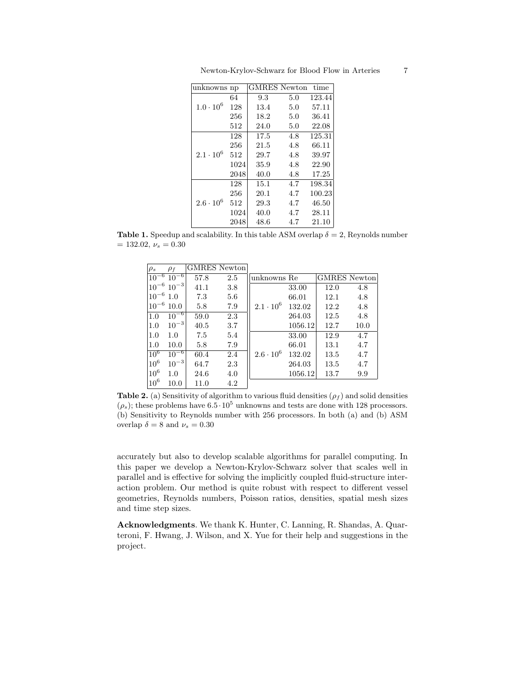| Newton-Krylov-Schwarz for Blood Flow in Arteries |  |  |  |  |
|--------------------------------------------------|--|--|--|--|
|--------------------------------------------------|--|--|--|--|

| unknowns np        |      | <b>GMRES</b> Newton |     | time   |
|--------------------|------|---------------------|-----|--------|
|                    | 64   | 9.3                 | 5.0 | 123.44 |
| $1.0 \cdot 10^{6}$ | 128  | 13.4                | 5.0 | 57.11  |
|                    | 256  | 18.2                | 5.0 | 36.41  |
|                    | 512  | 24.0                | 5.0 | 22.08  |
| $2.1 \cdot 10^{6}$ | 128  | 17.5                | 4.8 | 125.31 |
|                    | 256  | 21.5                | 4.8 | 66.11  |
|                    | 512  | 29.7                | 4.8 | 39.97  |
|                    | 1024 | 35.9                | 4.8 | 22.90  |
|                    | 2048 | 40.0                | 4.8 | 17.25  |
| $2.6 \cdot 10^6$   | 128  | 15.1                | 4.7 | 198.34 |
|                    | 256  | 20.1                | 4.7 | 100.23 |
|                    | 512  | 29.3                | 4.7 | 46.50  |
|                    | 1024 | 40.0                | 4.7 | 28.11  |
|                    | 2048 | 48.6                | 4.7 | 21.10  |

**Table 1.** Speedup and scalability. In this table ASM overlap  $\delta = 2$ , Reynolds number  $= 132.02, \nu_s = 0.30$ 

| $\rho_s$        | $\rho_f$            | <b>GMRES</b> Newton |     |                    |         |                     |      |
|-----------------|---------------------|---------------------|-----|--------------------|---------|---------------------|------|
| $10^{-6}$       | $10^{-6}$           | 57.8                | 2.5 | unknowns Re        |         | <b>GMRES</b> Newton |      |
|                 | $10^{-6}$ $10^{-3}$ | 41.1                | 3.8 |                    | 33.00   | 12.0                | 4.8  |
| $10^{-6}$ 1.0   |                     | 7.3                 | 5.6 |                    | 66.01   | 12.1                | 4.8  |
| $10^{-6}$       | 10.0                | 5.8                 | 7.9 | $2.1 \cdot 10^6$   | 132.02  | 12.2                | 4.8  |
| 1.0             | $10^{-6}$           | 59.0                | 2.3 |                    | 264.03  | 12.5                | 4.8  |
| 1.0             | $10^{-3}$           | 40.5                | 3.7 |                    | 1056.12 | 12.7                | 10.0 |
| 1.0             | 1.0                 | 7.5                 | 5.4 |                    | 33.00   | 12.9                | 4.7  |
| 1.0             | 10.0                | 5.8                 | 7.9 |                    | 66.01   | 13.1                | 4.7  |
| 10 <sup>6</sup> | $10^{-6}$           | 60.4                | 2.4 | $2.6 \cdot 10^{6}$ | 132.02  | 13.5                | 4.7  |
| 10 <sup>6</sup> | $10^{-3}$           | 64.7                | 2.3 |                    | 264.03  | 13.5                | 4.7  |
| 10 <sup>6</sup> | 1.0                 | 24.6                | 4.0 |                    | 1056.12 | 13.7                | 9.9  |
| $10^6$          | 10.0                | 11.0                | 4.2 |                    |         |                     |      |

Table 2. (a) Sensitivity of algorithm to various fluid densities  $(\rho_f)$  and solid densities  $(\rho_s)$ ; these problems have  $6.5 \cdot 10^5$  unknowns and tests are done with 128 processors. (b) Sensitivity to Reynolds number with 256 processors. In both (a) and (b) ASM overlap $\delta=8$  and  $\nu_s=0.30$ 

accurately but also to develop scalable algorithms for parallel computing. In this paper we develop a Newton-Krylov-Schwarz solver that scales well in parallel and is effective for solving the implicitly coupled fluid-structure interaction problem. Our method is quite robust with respect to different vessel geometries, Reynolds numbers, Poisson ratios, densities, spatial mesh sizes and time step sizes.

Acknowledgments. We thank K. Hunter, C. Lanning, R. Shandas, A. Quarteroni, F. Hwang, J. Wilson, and X. Yue for their help and suggestions in the project.